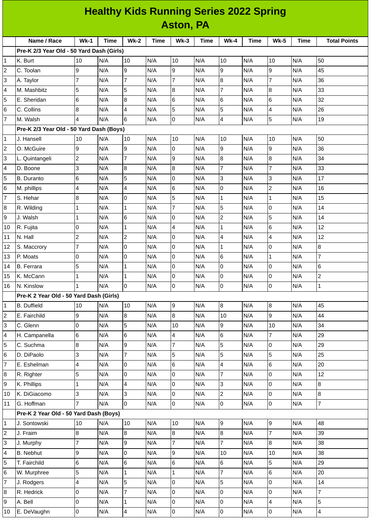| <b>Healthy Kids Running Series 2022 Spring</b><br><b>Aston, PA</b> |                                           |                |             |                         |             |                |             |                  |             |                |             |                     |
|--------------------------------------------------------------------|-------------------------------------------|----------------|-------------|-------------------------|-------------|----------------|-------------|------------------|-------------|----------------|-------------|---------------------|
|                                                                    |                                           |                |             |                         |             |                |             |                  |             |                |             |                     |
|                                                                    | Name / Race                               | $Wk-1$         | <b>Time</b> | $Wk-2$                  | <b>Time</b> | <b>Wk-3</b>    | <b>Time</b> | <b>Wk-4</b>      | <b>Time</b> | <b>Wk-5</b>    | <b>Time</b> | <b>Total Points</b> |
|                                                                    | Pre-K 2/3 Year Old - 50 Yard Dash (Girls) |                |             |                         |             |                |             |                  |             |                |             |                     |
| 1                                                                  | K. Burt                                   | 10             | N/A         | 10                      | N/A         | 10             | N/A         | 10               | N/A         | 10             | N/A         | 50                  |
| $\overline{c}$                                                     | C. Toolan                                 | 9              | N/A         | 9                       | N/A         | 9              | N/A         | 9                | N/A         | 9              | N/A         | 45                  |
| 3                                                                  | A. Taylor                                 | $\overline{7}$ | N/A         | $\overline{7}$          | N/A         | $\overline{7}$ | N/A         | 8                | N/A         | $\overline{7}$ | N/A         | 36                  |
| 4                                                                  | M. Mashbitz                               | 5              | N/A         | 5                       | N/A         | 8              | N/A         | 7                | N/A         | 8              | N/A         | 33                  |
| 5                                                                  | E. Sheridan                               | 6              | N/A         | $\overline{8}$          | N/A         | 6              | N/A         | 6                | N/A         | 6              | N/A         | 32                  |
| 6                                                                  | C. Collins                                | 8              | N/A         | $\overline{4}$          | N/A         | 5              | N/A         | 5                | N/A         | 4              | N/A         | 26                  |
| $\overline{7}$                                                     | M. Walsh                                  | 4              | N/A         | 6                       | N/A         | 0              | N/A         | 4                | N/A         | 5              | N/A         | 19                  |
|                                                                    | Pre-K 2/3 Year Old - 50 Yard Dash (Boys)  |                |             |                         |             |                |             |                  |             |                |             |                     |
| $\mathbf{1}$                                                       | J. Hansell                                | 10             | N/A         | 10                      | N/A         | 10             | N/A         | 10               | N/A         | 10             | N/A         | 50                  |
| $\overline{c}$                                                     | O. McGuire                                | 9              | N/A         | g                       | N/A         | 0              | N/A         | 9                | N/A         | 9              | N/A         | 36                  |
| 3                                                                  | L. Quintangeli                            | $\overline{c}$ | N/A         | $\overline{7}$          | N/A         | 9              | N/A         | 8                | N/A         | 8              | N/A         | 34                  |
| 4                                                                  | D. Boone                                  | 3              | N/A         | 8                       | N/A         | 8              | N/A         | 7                | N/A         | 7              | N/A         | 33                  |
| 5                                                                  | <b>B.</b> Duranto                         | 6              | N/A         | 5                       | N/A         | 0              | N/A         | 3                | N/A         | 3              | N/A         | 17                  |
| 6                                                                  | M. phillips                               | 4              | N/A         | $\overline{4}$          | N/A         | 6              | N/A         | 0                | N/A         | $\overline{c}$ | N/A         | 16                  |
| $\overline{7}$                                                     | S. Hehar                                  | 8              | N/A         | 0                       | N/A         | 5              | N/A         | 1                | N/A         | 1              | N/A         | 15                  |
| 8                                                                  | R. Wilding                                | $\mathbf{1}$   | N/A         | $\mathbf{1}$            | N/A         | $\overline{7}$ | N/A         | 5                | N/A         | 0              | N/A         | 14                  |
| 9                                                                  | J. Walsh                                  | 1              | N/A         | 6                       | N/A         | 0              | N/A         | $\overline{c}$   | N/A         | 5              | N/A         | 14                  |
| 10                                                                 | R. Fujita                                 | 0              | N/A         | $\mathbf{1}$            | N/A         | 4              | N/A         | $\mathbf{1}$     | N/A         | 6              | N/A         | 12                  |
| 11                                                                 | N. Hall                                   | $\overline{c}$ | N/A         | $\overline{c}$          | N/A         | 0              | N/A         | 4                | N/A         | 4              | N/A         | 12                  |
| 12                                                                 | S. Maccrory                               | 7              | N/A         | 0                       | N/A         | 0              | N/A         | $\mathbf{1}$     | N/A         | 0              | N/A         | 8                   |
| 13                                                                 | P. Moats                                  | 0              | N/A         | l0                      | N/A         | 0              | N/A         | 6                | N/A         | $\mathbf{1}$   | N/A         | $\overline{7}$      |
| 14                                                                 | B. Ferrara                                | 5              | N/A         | $\mathbf{1}$            | N/A         | 0              | N/A         | 0                | N/A         | 0              | N/A         | 6                   |
| 15                                                                 | K. McCann                                 | 1              | N/A         | $\mathbf{1}$            | N/A         | 0              | N/A         | 0                | N/A         | 0              | N/A         | $\overline{c}$      |
| 16                                                                 | N. Kinslow                                | 1              | N/A         | l0                      | N/A         | $\overline{0}$ | N/A         | $\overline{0}$   | N/A         | $\overline{0}$ | N/A         | $\mathbf{1}$        |
|                                                                    | Pre-K 2 Year Old - 50 Yard Dash (Girls)   |                |             |                         |             |                |             |                  |             |                |             |                     |
| $\mathbf 1$                                                        | <b>B.</b> Duffield                        | 10             | N/A         | 10                      | N/A         | 9              | N/A         | 8                | N/A         | 8              | N/A         | 45                  |
| $\overline{c}$                                                     | E. Fairchild                              | 9              | N/A         | 8                       | N/A         | 8              | N/A         | 10               | N/A         | 9              | N/A         | 44                  |
| 3                                                                  | C. Glenn                                  | 0              | N/A         | 5                       | N/A         | $10\,$         | N/A         | 9                | N/A         | $10\,$         | N/A         | 34                  |
| 4                                                                  | H. Campanella                             | 6              | N/A         | 6                       | N/A         | 4              | N/A         | 6                | N/A         | $\overline{7}$ | N/A         | 29                  |
| 5                                                                  | C. Suchma                                 | 8              | N/A         | 9                       | N/A         | $\overline{7}$ | N/A         | 5                | N/A         | 0              | N/A         | 29                  |
| 6                                                                  | D. DiPaolo                                | 3              | N/A         | $\overline{7}$          | N/A         | 5              | N/A         | 5                | N/A         | 5              | N/A         | 25                  |
| $\overline{7}$                                                     | E. Eshelman                               | 4              | N/A         | l0                      | N/A         | 6              | N/A         | 4                | N/A         | 6              | N/A         | 20                  |
| 8                                                                  | R. Righter                                | 5              | N/A         | l0                      | N/A         | 0              | N/A         | $\overline{7}$   | N/A         | 0              | N/A         | 12                  |
| 9                                                                  | K. Phillips                               | 1              | N/A         | $\overline{\mathbf{4}}$ | N/A         | 0              | N/A         | 3                | N/A         | 0              | N/A         | $\overline{8}$      |
| 10                                                                 | K. DiGiacomo                              | 3              | N/A         | 3                       | N/A         | 0              | N/A         | $\overline{c}$   | N/A         | 0              | N/A         | $\bf{8}$            |
| 11                                                                 | G. Hoffman                                | $\overline{7}$ | N/A         | l0                      | N/A         | 0              | N/A         | $\overline{0}$   | N/A         | 0              | N/A         | $\overline{7}$      |
|                                                                    | Pre-K 2 Year Old - 50 Yard Dash (Boys)    |                |             |                         |             |                |             |                  |             |                |             |                     |
| $\mathbf 1$                                                        | J. Sontowski                              | 10             | N/A         | 10                      | N/A         | $10\,$         | N/A         | 9                | N/A         | 9              | N/A         | 48                  |
| $\overline{c}$                                                     | J. Fraim                                  | 8              | N/A         | 8                       | N/A         | 8              | N/A         | $\boldsymbol{8}$ | N/A         | $\overline{7}$ | N/A         | 39                  |
| 3                                                                  | J. Murphy                                 | $\overline{7}$ | N/A         | g                       | N/A         | $\overline{7}$ | N/A         | $\overline{7}$   | N/A         | 8              | N/A         | 38                  |
| 4                                                                  | B. Nebhut                                 | 9              | N/A         | l0                      | N/A         | 9              | N/A         | 10               | N/A         | $10\,$         | N/A         | 38                  |
| 5                                                                  | T. Fairchild                              | 6              | N/A         | 6                       | N/A         | 6              | N/A         | 6                | N/A         | 5              | N/A         | 29                  |
| 6                                                                  | W. Murphree                               | 5              | N/A         | $\mathbf 1$             | N/A         | $\mathbf{1}$   | N/A         | $\overline{7}$   | N/A         | 6              | N/A         | 20                  |
| $\overline{7}$                                                     | J. Rodgers                                | 4              | N/A         | 5                       | N/A         | 0              | N/A         | 5                | N/A         | 0              | N/A         | 14                  |
| 8                                                                  | R. Hedrick                                | 0              | N/A         | $\overline{7}$          | N/A         | 0              | N/A         | 0                | N/A         | 0              | N/A         | $\overline{7}$      |
| 9                                                                  | A. Bell                                   | 0              | N/A         | $\mathbf{1}$            | N/A         | 0              | N/A         | 0                | N/A         | 4              | N/A         | 5                   |
| 10                                                                 | E. DeVaughn                               | $\mathsf 0$    | N/A         | $\overline{4}$          | N/A         | 0              | N/A         | 0                | N/A         | 0              | N/A         | $\overline{4}$      |
|                                                                    |                                           |                |             |                         |             |                |             |                  |             |                |             |                     |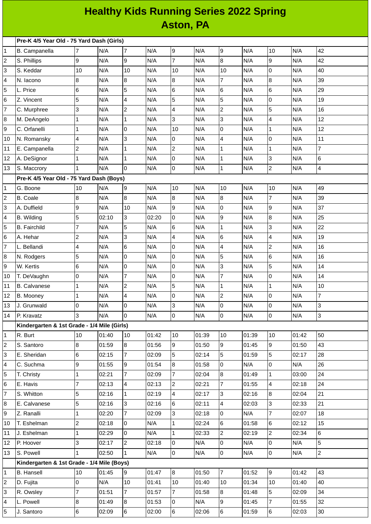## **Healthy Kids Running Series 2022 Spring Aston, PA**

|    | Pre-K 4/5 Year Old - 75 Yard Dash (Girls)                              |                |       |                      |       |                      |       |                         |       |                |       |                |
|----|------------------------------------------------------------------------|----------------|-------|----------------------|-------|----------------------|-------|-------------------------|-------|----------------|-------|----------------|
| 1  | B. Campanella                                                          | 7              | N/A   | $\overline{7}$       | N/A   | 9                    | N/A   | 9                       | N/A   | 10             | N/A   | 42             |
| 2  | S. Phillips                                                            | 9              | N/A   | 9                    | N/A   | $\overline{7}$       | N/A   | 8                       | N/A   | 9              | N/A   | 42             |
| 3  | S. Keddar                                                              | 10             | N/A   | 10                   | N/A   | 10                   | N/A   | 10                      | N/A   | 0              | N/A   | 40             |
| 4  | N. Iacono                                                              | 8              | N/A   | 8                    | N/A   | 8                    | N/A   | $\overline{7}$          | N/A   | 8              | N/A   | 39             |
| 5  | L. Price                                                               | 6              | N/A   | 5                    | N/A   | $6\phantom{a}$       | N/A   | 6                       | N/A   | 6              | N/A   | 29             |
| 6  | Z. Vincent                                                             | 5              | N/A   | 4                    | N/A   | 5                    | N/A   | 5                       | N/A   | 0              | N/A   | 19             |
| 7  | C. Murphree                                                            | 3              | N/A   | $\overline{c}$       | N/A   | 4                    | N/A   | $\overline{\mathbf{c}}$ | N/A   | 5              | N/A   | 16             |
| 8  | M. DeAngelo                                                            | $\mathbf 1$    | N/A   | $\mathbf{1}$         | N/A   | $\overline{3}$       | N/A   | 3                       | N/A   | 4              | N/A   | 12             |
| 9  | C. Orfanelli                                                           | $\mathbf 1$    | N/A   | 0                    | N/A   | 10                   | N/A   | 0                       | N/A   | $\mathbf 1$    | N/A   | 12             |
| 10 | N. Romansky                                                            | 4              | N/A   | 3                    | N/A   | $\overline{0}$       | N/A   | 4                       | N/A   | 0              | N/A   | 11             |
| 11 | E. Campanella                                                          | $\overline{c}$ | N/A   | $\mathbf{1}$         | N/A   | $\overline{c}$       | N/A   | $\mathbf 1$             | N/A   | $\mathbf 1$    | N/A   | $\overline{7}$ |
| 12 | A. DeSignor                                                            | $\mathbf{1}$   | N/A   | $\mathbf{1}$         | N/A   | $\overline{0}$       | N/A   | $\mathbf 1$             | N/A   | 3              | N/A   | 6              |
| 13 | S. Maccrory                                                            | $\mathbf{1}$   | N/A   | 0                    | N/A   | $\overline{0}$       | N/A   | $\mathbf 1$             | N/A   | $\overline{c}$ | N/A   | $\overline{a}$ |
|    | Pre-K 4/5 Year Old - 75 Yard Dash (Boys)                               |                |       |                      |       |                      |       |                         |       |                |       |                |
| 1  | G. Boone                                                               | 10             | N/A   | 9                    | N/A   | 10                   | N/A   | $10\,$                  | N/A   | $10\,$         | N/A   | 49             |
| 2  | B. Coale                                                               | 8              | N/A   | 8                    | N/A   | $\overline{8}$       | N/A   | 8                       | N/A   | $\overline{7}$ | N/A   | 39             |
| 3  | A. Duffield                                                            | 9              | N/A   | 10                   | N/A   | 9                    | N/A   | 0                       | N/A   | 9              | N/A   | 37             |
| 4  | B. Wilding                                                             | 5              | 02:10 | 3                    | 02:20 | 0                    | N/A   | 9                       | N/A   | 8              | N/A   | 25             |
| 5  | <b>B.</b> Fairchild                                                    | $\overline{7}$ | N/A   | 5                    | N/A   | $6\phantom{.}6$      | N/A   | $\mathbf 1$             | N/A   | 3              | N/A   | 22             |
| 6  | A. Hehar                                                               | $\overline{c}$ | N/A   | 3                    | N/A   | $\overline{4}$       | N/A   | 6                       | N/A   | 4              | N/A   | 19             |
| 7  | L. Bellandi                                                            | 4              | N/A   | 6                    | N/A   | 0                    | N/A   | 4                       | N/A   | $\overline{c}$ | N/A   | 16             |
| 8  | N. Rodgers                                                             | 5              | N/A   | 0                    | N/A   | 0                    | N/A   | 5                       | N/A   | 6              | N/A   | 16             |
| 9  | W. Kertis                                                              | 6              | N/A   | 0                    | N/A   | 0                    | N/A   | 3                       | N/A   | 5              | N/A   | 14             |
| 10 | T. DeVaughn                                                            | $\mathsf 0$    | N/A   | $\overline{7}$       | N/A   | $\pmb{0}$            | N/A   | $\overline{7}$          | N/A   | 0              | N/A   | 14             |
| 11 | <b>B.</b> Calvanese                                                    | $\mathbf{1}$   | N/A   | $\overline{c}$       | N/A   | 5                    | N/A   | $\mathbf 1$             | N/A   | $\mathbf 1$    | N/A   | 10             |
| 12 | B. Mooney                                                              | $\mathbf{1}$   | N/A   | 4                    | N/A   | 0                    | N/A   | $\overline{\mathbf{c}}$ | N/A   | 0              | N/A   | 7              |
| 13 | J. Grunwald                                                            | 0              | N/A   | 0                    | N/A   | 3                    | N/A   | 0                       | N/A   | 0              | N/A   | 3              |
| 14 | P. Kravatz                                                             | 3              | N/A   | 10                   | N/A   | 10                   | N/A   | 0                       | N/A   | 0              | N/A   | 3              |
|    | Kindergarten & 1st Grade - 1/4 Mile (Girls)                            |                |       |                      |       |                      |       |                         |       |                |       |                |
| 1  | R. Burt                                                                | 10             | 01:40 | 10                   | 01:42 | 10                   | 01:39 | 10                      | 01:39 | 10             | 01:42 | 50             |
| 2  | S. Santoro                                                             | 8              | 01:59 | 8                    | 01:56 | 9                    | 01:50 | 9                       | 01:45 | 9              | 01:50 | 43             |
| 3  | E. Sheridan                                                            | 6              | 02:15 | $\overline{7}$       | 02:09 | $\overline{5}$       | 02:14 | 5                       | 01:59 | 5              | 02:17 | 28             |
| 4  | C. Suchma                                                              | 9              | 01:55 | 9                    | 01:54 | 8                    | 01:58 | 0                       | N/A   | 0              | N/A   | 26             |
| 5  | T. Christy                                                             | 1              | 02:21 | $\overline{7}$       | 02:09 | $\overline{7}$       | 02:04 | 8                       | 01:49 | $\mathbf{1}$   | 03:00 | 24             |
| 6  | E. Havis                                                               | 7              | 02:13 | 4                    | 02:13 | $\overline{2}$       | 02:21 | $\overline{7}$          | 01:55 | 4              | 02:18 | 24             |
| 7  | S. Whitton                                                             | 5              | 02:16 | $\mathbf{1}$         | 02:19 | $\overline{4}$       | 02:17 | 3                       | 02:16 | 8              | 02:04 | 21             |
| 8  | E. Calvanese                                                           | 5              | 02:16 | 3                    | 02:16 | 6                    | 02:11 | 4                       | 02:03 | 3              | 02:33 | 21             |
| 9  | Z. Ranalli                                                             | $\mathbf{1}$   | 02:20 | $\overline{7}$       | 02:09 | 3                    | 02:18 | 0                       | N/A   | $\overline{7}$ | 02:07 | 18             |
| 10 | T. Eshelman                                                            | $\overline{c}$ | 02:18 | 0                    | N/A   | $\mathbf{1}$         | 02:24 | 6                       | 01:58 | 6              | 02:12 | 15             |
| 11 | J. Eshelman                                                            | $\mathbf{1}$   | 02:29 | 0                    | N/A   | $\mathbf{1}$         | 02:33 | $\overline{c}$          | 02:19 | $\overline{c}$ | 02:34 | 6              |
| 12 | P. Hoover                                                              | 3              | 02:17 | $\overline{a}$       | 02:18 | $\overline{0}$       | N/A   | 0                       | N/A   | 0              | N/A   | 5              |
| 13 | S. Powell                                                              | 1              | 02:50 | $\mathbf{1}$         | N/A   | 0                    | N/A   | 0                       | N/A   | 0              | N/A   | $\overline{2}$ |
|    | Kindergarten & 1st Grade - 1/4 Mile (Boys)<br>8<br>$\overline{7}$<br>9 |                |       |                      |       |                      |       |                         |       |                |       |                |
| 1  | <b>B.</b> Hansell                                                      | 10             | 01:45 | 9                    | 01:47 |                      | 01:50 |                         | 01:52 | 10             | 01:42 | 43             |
| 2  | D. Fujita                                                              | 0              | N/A   | 10<br>$\overline{7}$ | 01:41 | 10<br>$\overline{7}$ | 01:40 | 10                      | 01:34 |                | 01:40 | 40             |
| 3  | R. Owsley                                                              | 7              | 01:51 |                      | 01:57 |                      | 01:58 | 8                       | 01:48 | 5              | 02:09 | 34             |
| 4  | L. Powell                                                              | 8              | 01:49 | 8                    | 01:53 | 0                    | N/A   | 9                       | 01:45 | 7              | 01:55 | 32             |
| 5  | J. Santoro                                                             | 6              | 02:09 | $6\phantom{.}$       | 02:00 | $6\overline{6}$      | 02:06 | 6                       | 01:59 | 6              | 02:03 | 30             |